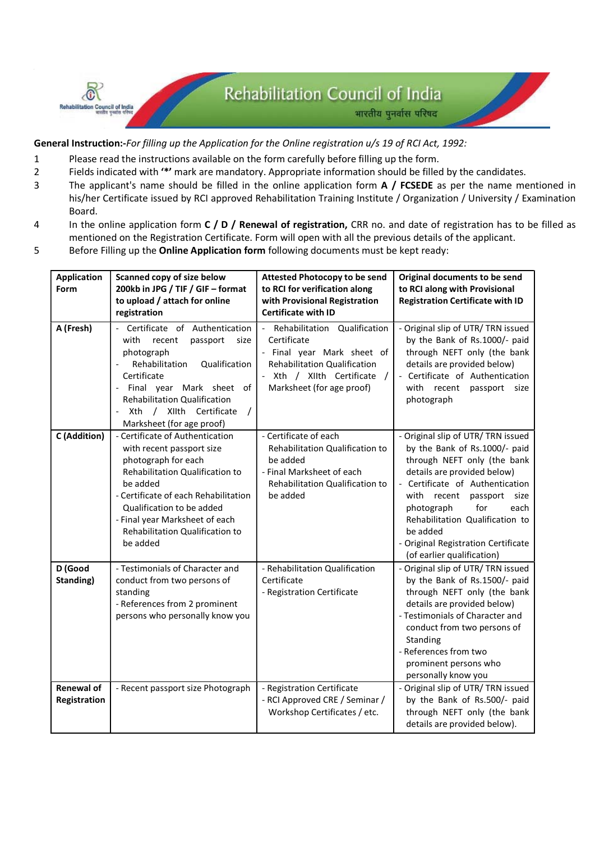General Instruction:-For filling up the Application for the Online registration u/s 19 of RCI Act, 1992:

1 Please read the instructions available on the form carefully before filling up the form.

**Rehabilitation Council of India** 

- 2 Fields indicated with '\*' mark are mandatory. Appropriate information should be filled by the candidates.
- 3 The applicant's name should be filled in the online application form A / FCSEDE as per the name mentioned in his/her Certificate issued by RCI approved Rehabilitation Training Institute / Organization / University / Examination Board.
- 4 In the online application form C / D / Renewal of registration, CRR no. and date of registration has to be filled as mentioned on the Registration Certificate. Form will open with all the previous details of the applicant.
- 5 Before Filling up the Online Application form following documents must be kept ready:

| <b>Application</b><br>Form        | Scanned copy of size below<br>200kb in JPG / TIF / GIF - format<br>to upload / attach for online<br>registration                                                                                                                                                                                | <b>Attested Photocopy to be send</b><br>to RCI for verification along<br>with Provisional Registration<br><b>Certificate with ID</b>                                                                   | Original documents to be send<br>to RCI along with Provisional<br><b>Registration Certificate with ID</b>                                                                                                                                                                                                                                               |
|-----------------------------------|-------------------------------------------------------------------------------------------------------------------------------------------------------------------------------------------------------------------------------------------------------------------------------------------------|--------------------------------------------------------------------------------------------------------------------------------------------------------------------------------------------------------|---------------------------------------------------------------------------------------------------------------------------------------------------------------------------------------------------------------------------------------------------------------------------------------------------------------------------------------------------------|
| A (Fresh)                         | Certificate of Authentication<br>$\overline{a}$<br>with<br>recent<br>passport<br>size<br>photograph<br>Rehabilitation<br>Qualification<br>Certificate<br>Final year Mark sheet of<br><b>Rehabilitation Qualification</b><br>/ XIIth Certificate<br>Xth<br>$\prime$<br>Marksheet (for age proof) | Rehabilitation Qualification<br>$\overline{\phantom{a}}$<br>Certificate<br>- Final year Mark sheet of<br><b>Rehabilitation Qualification</b><br>Xth / XIIth Certificate /<br>Marksheet (for age proof) | - Original slip of UTR/TRN issued<br>by the Bank of Rs.1000/- paid<br>through NEFT only (the bank<br>details are provided below)<br>- Certificate of Authentication<br>with recent<br>passport<br>size<br>photograph                                                                                                                                    |
| C (Addition)                      | - Certificate of Authentication<br>with recent passport size<br>photograph for each<br>Rehabilitation Qualification to<br>be added<br>- Certificate of each Rehabilitation<br>Qualification to be added<br>- Final year Marksheet of each<br>Rehabilitation Qualification to<br>be added        | - Certificate of each<br>Rehabilitation Qualification to<br>be added<br>- Final Marksheet of each<br>Rehabilitation Qualification to<br>be added                                                       | - Original slip of UTR/TRN issued<br>by the Bank of Rs.1000/- paid<br>through NEFT only (the bank<br>details are provided below)<br>- Certificate of Authentication<br>with recent<br>passport<br>size<br>for<br>photograph<br>each<br>Rehabilitation Qualification to<br>be added<br>- Original Registration Certificate<br>(of earlier qualification) |
| D (Good<br>Standing)              | - Testimonials of Character and<br>conduct from two persons of<br>standing<br>- References from 2 prominent<br>persons who personally know you                                                                                                                                                  | - Rehabilitation Qualification<br>Certificate<br>- Registration Certificate                                                                                                                            | - Original slip of UTR/TRN issued<br>by the Bank of Rs.1500/- paid<br>through NEFT only (the bank<br>details are provided below)<br>- Testimonials of Character and<br>conduct from two persons of<br>Standing<br>- References from two<br>prominent persons who<br>personally know you                                                                 |
| <b>Renewal of</b><br>Registration | - Recent passport size Photograph                                                                                                                                                                                                                                                               | - Registration Certificate<br>- RCI Approved CRE / Seminar /<br>Workshop Certificates / etc.                                                                                                           | - Original slip of UTR/ TRN issued<br>by the Bank of Rs.500/- paid<br>through NEFT only (the bank<br>details are provided below).                                                                                                                                                                                                                       |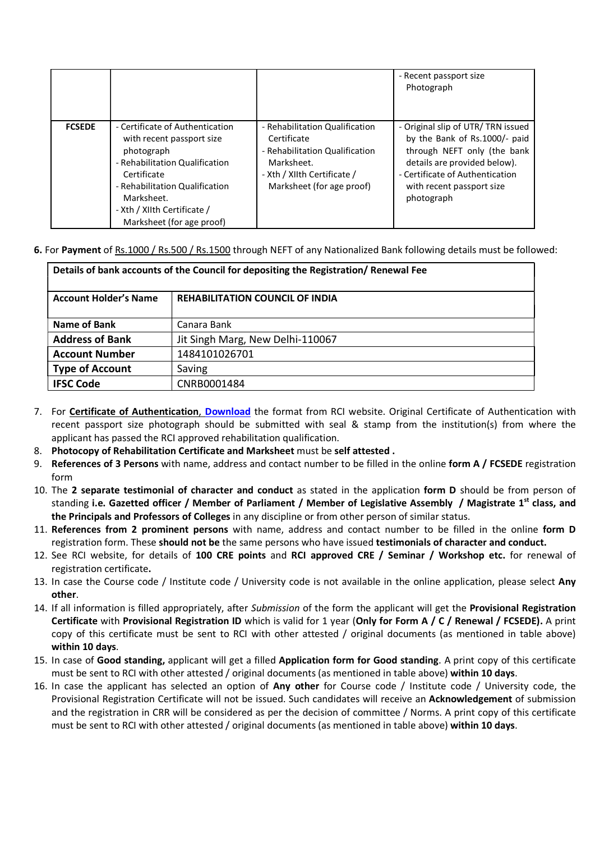|               |                                                                                                                                                                                                                                         |                                                                                                                                                           | - Recent passport size<br>Photograph                                                                                                                                                                            |
|---------------|-----------------------------------------------------------------------------------------------------------------------------------------------------------------------------------------------------------------------------------------|-----------------------------------------------------------------------------------------------------------------------------------------------------------|-----------------------------------------------------------------------------------------------------------------------------------------------------------------------------------------------------------------|
| <b>FCSEDE</b> | - Certificate of Authentication<br>with recent passport size<br>photograph<br>- Rehabilitation Qualification<br>Certificate<br>- Rehabilitation Qualification<br>Marksheet.<br>- Xth / XIIth Certificate /<br>Marksheet (for age proof) | - Rehabilitation Qualification<br>Certificate<br>- Rehabilitation Qualification<br>Marksheet.<br>- Xth / XIIth Certificate /<br>Marksheet (for age proof) | - Original slip of UTR/TRN issued<br>by the Bank of Rs.1000/- paid<br>through NEFT only (the bank<br>details are provided below).<br>- Certificate of Authentication<br>with recent passport size<br>photograph |

6. For Payment of Rs.1000 / Rs.500 / Rs.1500 through NEFT of any Nationalized Bank following details must be followed:

| Details of bank accounts of the Council for depositing the Registration/ Renewal Fee |                                        |  |  |  |
|--------------------------------------------------------------------------------------|----------------------------------------|--|--|--|
| <b>Account Holder's Name</b>                                                         | <b>REHABILITATION COUNCIL OF INDIA</b> |  |  |  |
| Name of Bank                                                                         | Canara Bank                            |  |  |  |
| <b>Address of Bank</b>                                                               | Jit Singh Marg, New Delhi-110067       |  |  |  |
| <b>Account Number</b>                                                                | 1484101026701                          |  |  |  |
| <b>Type of Account</b>                                                               | Saving                                 |  |  |  |
| <b>IFSC Code</b>                                                                     | CNRB0001484                            |  |  |  |

- 7. For Certificate of Authentication, Download the format from RCI website. Original Certificate of Authentication with recent passport size photograph should be submitted with seal & stamp from the institution(s) from where the applicant has passed the RCI approved rehabilitation qualification.
- 8. Photocopy of Rehabilitation Certificate and Marksheet must be self attested.
- 9. References of 3 Persons with name, address and contact number to be filled in the online form A / FCSEDE registration form
- 10. The 2 separate testimonial of character and conduct as stated in the application form D should be from person of standing i.e. Gazetted officer / Member of Parliament / Member of Legislative Assembly / Magistrate 1<sup>st</sup> class, and the Principals and Professors of Colleges in any discipline or from other person of similar status.
- 11. References from 2 prominent persons with name, address and contact number to be filled in the online form D registration form. These should not be the same persons who have issued testimonials of character and conduct.
- 12. See RCI website, for details of 100 CRE points and RCI approved CRE / Seminar / Workshop etc. for renewal of registration certificate.
- 13. In case the Course code / Institute code / University code is not available in the online application, please select Any other.
- 14. If all information is filled appropriately, after Submission of the form the applicant will get the Provisional Registration Certificate with Provisional Registration ID which is valid for 1 year (Only for Form A / C / Renewal / FCSEDE). A print copy of this certificate must be sent to RCI with other attested / original documents (as mentioned in table above) within 10 days.
- 15. In case of Good standing, applicant will get a filled Application form for Good standing. A print copy of this certificate must be sent to RCI with other attested / original documents (as mentioned in table above) within 10 days.
- 16. In case the applicant has selected an option of Any other for Course code / Institute code / University code, the Provisional Registration Certificate will not be issued. Such candidates will receive an Acknowledgement of submission and the registration in CRR will be considered as per the decision of committee / Norms. A print copy of this certificate must be sent to RCI with other attested / original documents (as mentioned in table above) within 10 days.